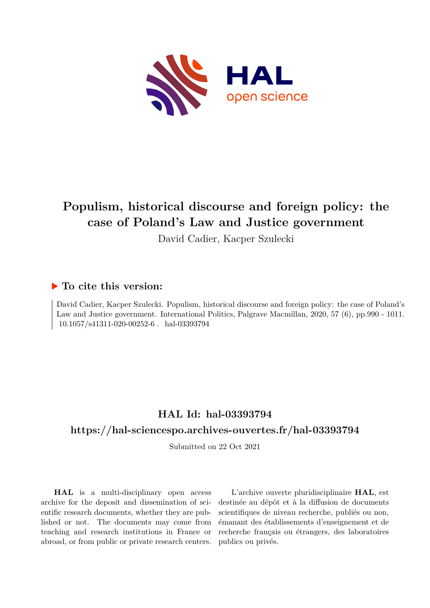

# **Populism, historical discourse and foreign policy: the case of Poland's Law and Justice government**

David Cadier, Kacper Szulecki

### **To cite this version:**

David Cadier, Kacper Szulecki. Populism, historical discourse and foreign policy: the case of Poland's Law and Justice government. International Politics, Palgrave Macmillan, 2020, 57 (6), pp.990 - 1011.  $10.1057/s41311-020-00252-6$ . hal-03393794

# **HAL Id: hal-03393794**

### **<https://hal-sciencespo.archives-ouvertes.fr/hal-03393794>**

Submitted on 22 Oct 2021

**HAL** is a multi-disciplinary open access archive for the deposit and dissemination of scientific research documents, whether they are published or not. The documents may come from teaching and research institutions in France or abroad, or from public or private research centers.

L'archive ouverte pluridisciplinaire **HAL**, est destinée au dépôt et à la diffusion de documents scientifiques de niveau recherche, publiés ou non, émanant des établissements d'enseignement et de recherche français ou étrangers, des laboratoires publics ou privés.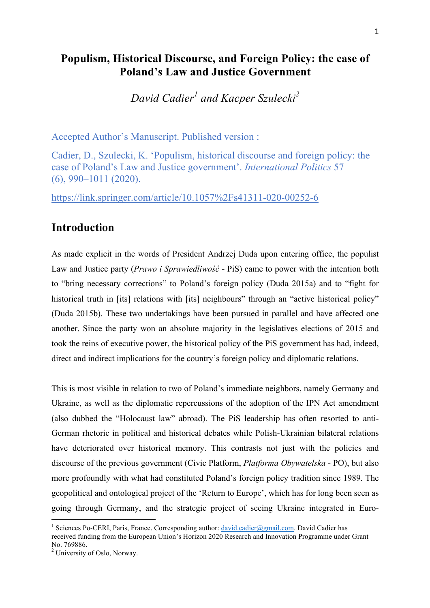# **Populism, Historical Discourse, and Foreign Policy: the case of Poland's Law and Justice Government**

*David Cadier<sup>1</sup> and Kacper Szulecki<sup>2</sup>*

Accepted Author's Manuscript. Published version :

Cadier, D., Szulecki, K. 'Populism, historical discourse and foreign policy: the case of Poland's Law and Justice government'. *International Politics* 57 (6), 990–1011 (2020).

https://link.springer.com/article/10.1057%2Fs41311-020-00252-6

### **Introduction**

As made explicit in the words of President Andrzej Duda upon entering office, the populist Law and Justice party (*Prawo i Sprawiedliwość* - PiS) came to power with the intention both to "bring necessary corrections" to Poland's foreign policy (Duda 2015a) and to "fight for historical truth in [its] relations with [its] neighbours" through an "active historical policy" (Duda 2015b). These two undertakings have been pursued in parallel and have affected one another. Since the party won an absolute majority in the legislatives elections of 2015 and took the reins of executive power, the historical policy of the PiS government has had, indeed, direct and indirect implications for the country's foreign policy and diplomatic relations.

This is most visible in relation to two of Poland's immediate neighbors, namely Germany and Ukraine, as well as the diplomatic repercussions of the adoption of the IPN Act amendment (also dubbed the "Holocaust law" abroad). The PiS leadership has often resorted to anti-German rhetoric in political and historical debates while Polish-Ukrainian bilateral relations have deteriorated over historical memory. This contrasts not just with the policies and discourse of the previous government (Civic Platform, *Platforma Obywatelska* - PO), but also more profoundly with what had constituted Poland's foreign policy tradition since 1989. The geopolitical and ontological project of the 'Return to Europe', which has for long been seen as going through Germany, and the strategic project of seeing Ukraine integrated in Euro-

<sup>&</sup>lt;sup>1</sup> Sciences Po-CERI, Paris, France. Corresponding author: david.cadier@gmail.com. David Cadier has received funding from the European Union's Horizon 2020 Research and Innovation Programme under Grant No. 769886.

<sup>&</sup>lt;sup>2</sup> University of Oslo, Norway.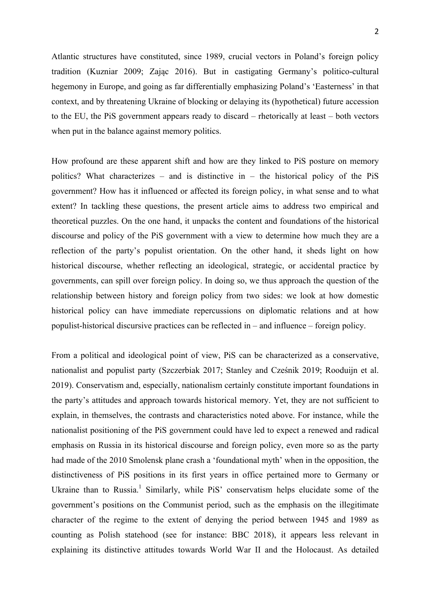Atlantic structures have constituted, since 1989, crucial vectors in Poland's foreign policy tradition (Kuzniar 2009; Zając 2016). But in castigating Germany's politico-cultural hegemony in Europe, and going as far differentially emphasizing Poland's 'Easterness' in that context, and by threatening Ukraine of blocking or delaying its (hypothetical) future accession to the EU, the PiS government appears ready to discard – rhetorically at least – both vectors when put in the balance against memory politics.

How profound are these apparent shift and how are they linked to PiS posture on memory politics? What characterizes – and is distinctive in – the historical policy of the PiS government? How has it influenced or affected its foreign policy, in what sense and to what extent? In tackling these questions, the present article aims to address two empirical and theoretical puzzles. On the one hand, it unpacks the content and foundations of the historical discourse and policy of the PiS government with a view to determine how much they are a reflection of the party's populist orientation. On the other hand, it sheds light on how historical discourse, whether reflecting an ideological, strategic, or accidental practice by governments, can spill over foreign policy. In doing so, we thus approach the question of the relationship between history and foreign policy from two sides: we look at how domestic historical policy can have immediate repercussions on diplomatic relations and at how populist-historical discursive practices can be reflected in – and influence – foreign policy.

From a political and ideological point of view, PiS can be characterized as a conservative, nationalist and populist party (Szczerbiak 2017; Stanley and Cześnik 2019; Rooduijn et al. 2019). Conservatism and, especially, nationalism certainly constitute important foundations in the party's attitudes and approach towards historical memory. Yet, they are not sufficient to explain, in themselves, the contrasts and characteristics noted above. For instance, while the nationalist positioning of the PiS government could have led to expect a renewed and radical emphasis on Russia in its historical discourse and foreign policy, even more so as the party had made of the 2010 Smolensk plane crash a 'foundational myth' when in the opposition, the distinctiveness of PiS positions in its first years in office pertained more to Germany or Ukraine than to Russia.<sup>1</sup> Similarly, while PiS' conservatism helps elucidate some of the government's positions on the Communist period, such as the emphasis on the illegitimate character of the regime to the extent of denying the period between 1945 and 1989 as counting as Polish statehood (see for instance: BBC 2018), it appears less relevant in explaining its distinctive attitudes towards World War II and the Holocaust. As detailed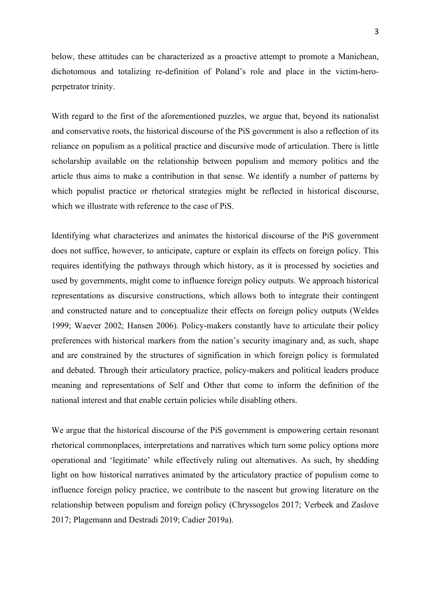below, these attitudes can be characterized as a proactive attempt to promote a Manichean, dichotomous and totalizing re-definition of Poland's role and place in the victim-heroperpetrator trinity.

With regard to the first of the aforementioned puzzles, we argue that, beyond its nationalist and conservative roots, the historical discourse of the PiS government is also a reflection of its reliance on populism as a political practice and discursive mode of articulation. There is little scholarship available on the relationship between populism and memory politics and the article thus aims to make a contribution in that sense. We identify a number of patterns by which populist practice or rhetorical strategies might be reflected in historical discourse, which we illustrate with reference to the case of PiS.

Identifying what characterizes and animates the historical discourse of the PiS government does not suffice, however, to anticipate, capture or explain its effects on foreign policy. This requires identifying the pathways through which history, as it is processed by societies and used by governments, might come to influence foreign policy outputs. We approach historical representations as discursive constructions, which allows both to integrate their contingent and constructed nature and to conceptualize their effects on foreign policy outputs (Weldes 1999; Waever 2002; Hansen 2006). Policy-makers constantly have to articulate their policy preferences with historical markers from the nation's security imaginary and, as such, shape and are constrained by the structures of signification in which foreign policy is formulated and debated. Through their articulatory practice, policy-makers and political leaders produce meaning and representations of Self and Other that come to inform the definition of the national interest and that enable certain policies while disabling others.

We argue that the historical discourse of the PiS government is empowering certain resonant rhetorical commonplaces, interpretations and narratives which turn some policy options more operational and 'legitimate' while effectively ruling out alternatives. As such, by shedding light on how historical narratives animated by the articulatory practice of populism come to influence foreign policy practice, we contribute to the nascent but growing literature on the relationship between populism and foreign policy (Chryssogelos 2017; Verbeek and Zaslove 2017; Plagemann and Destradi 2019; Cadier 2019a).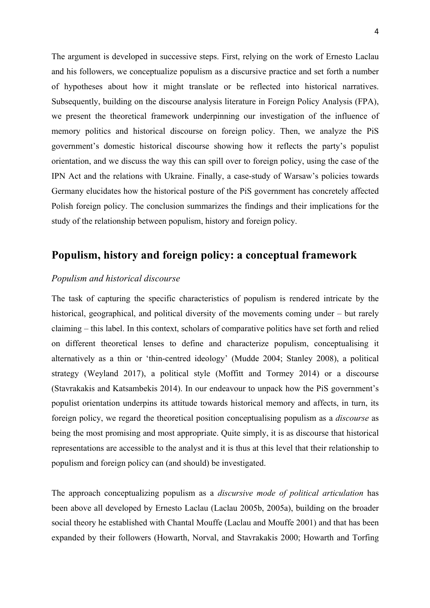The argument is developed in successive steps. First, relying on the work of Ernesto Laclau and his followers, we conceptualize populism as a discursive practice and set forth a number of hypotheses about how it might translate or be reflected into historical narratives. Subsequently, building on the discourse analysis literature in Foreign Policy Analysis (FPA), we present the theoretical framework underpinning our investigation of the influence of memory politics and historical discourse on foreign policy. Then, we analyze the PiS government's domestic historical discourse showing how it reflects the party's populist orientation, and we discuss the way this can spill over to foreign policy, using the case of the IPN Act and the relations with Ukraine. Finally, a case-study of Warsaw's policies towards Germany elucidates how the historical posture of the PiS government has concretely affected Polish foreign policy. The conclusion summarizes the findings and their implications for the study of the relationship between populism, history and foreign policy.

# **Populism, history and foreign policy: a conceptual framework**

#### *Populism and historical discourse*

The task of capturing the specific characteristics of populism is rendered intricate by the historical, geographical, and political diversity of the movements coming under – but rarely claiming – this label. In this context, scholars of comparative politics have set forth and relied on different theoretical lenses to define and characterize populism, conceptualising it alternatively as a thin or 'thin-centred ideology' (Mudde 2004; Stanley 2008), a political strategy (Weyland 2017), a political style (Moffitt and Tormey 2014) or a discourse (Stavrakakis and Katsambekis 2014). In our endeavour to unpack how the PiS government's populist orientation underpins its attitude towards historical memory and affects, in turn, its foreign policy, we regard the theoretical position conceptualising populism as a *discourse* as being the most promising and most appropriate. Quite simply, it is as discourse that historical representations are accessible to the analyst and it is thus at this level that their relationship to populism and foreign policy can (and should) be investigated.

The approach conceptualizing populism as a *discursive mode of political articulation* has been above all developed by Ernesto Laclau (Laclau 2005b, 2005a), building on the broader social theory he established with Chantal Mouffe (Laclau and Mouffe 2001) and that has been expanded by their followers (Howarth, Norval, and Stavrakakis 2000; Howarth and Torfing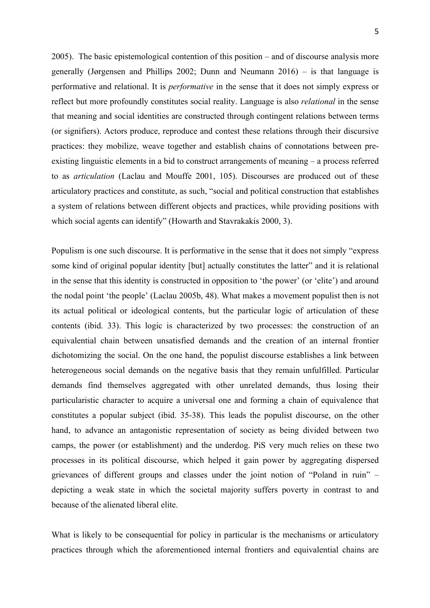2005). The basic epistemological contention of this position – and of discourse analysis more generally (Jørgensen and Phillips 2002; Dunn and Neumann 2016) – is that language is performative and relational. It is *performative* in the sense that it does not simply express or reflect but more profoundly constitutes social reality. Language is also *relational* in the sense that meaning and social identities are constructed through contingent relations between terms (or signifiers). Actors produce, reproduce and contest these relations through their discursive practices: they mobilize, weave together and establish chains of connotations between preexisting linguistic elements in a bid to construct arrangements of meaning – a process referred to as *articulation* (Laclau and Mouffe 2001, 105). Discourses are produced out of these articulatory practices and constitute, as such, "social and political construction that establishes a system of relations between different objects and practices, while providing positions with which social agents can identify" (Howarth and Stavrakakis 2000, 3).

Populism is one such discourse. It is performative in the sense that it does not simply "express some kind of original popular identity [but] actually constitutes the latter" and it is relational in the sense that this identity is constructed in opposition to 'the power' (or 'elite') and around the nodal point 'the people' (Laclau 2005b, 48). What makes a movement populist then is not its actual political or ideological contents, but the particular logic of articulation of these contents (ibid. 33). This logic is characterized by two processes: the construction of an equivalential chain between unsatisfied demands and the creation of an internal frontier dichotomizing the social. On the one hand, the populist discourse establishes a link between heterogeneous social demands on the negative basis that they remain unfulfilled. Particular demands find themselves aggregated with other unrelated demands, thus losing their particularistic character to acquire a universal one and forming a chain of equivalence that constitutes a popular subject (ibid. 35-38). This leads the populist discourse, on the other hand, to advance an antagonistic representation of society as being divided between two camps, the power (or establishment) and the underdog. PiS very much relies on these two processes in its political discourse, which helped it gain power by aggregating dispersed grievances of different groups and classes under the joint notion of "Poland in ruin" – depicting a weak state in which the societal majority suffers poverty in contrast to and because of the alienated liberal elite.

What is likely to be consequential for policy in particular is the mechanisms or articulatory practices through which the aforementioned internal frontiers and equivalential chains are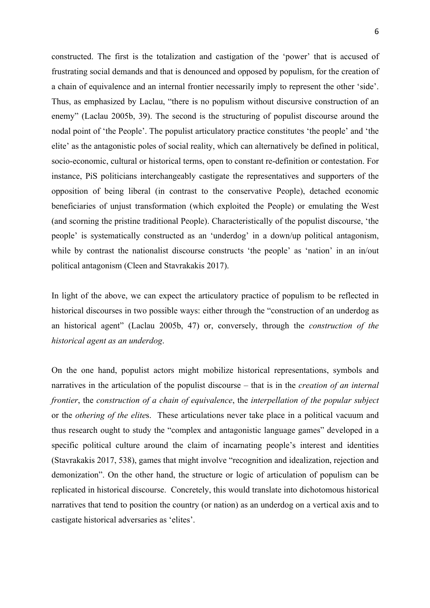constructed. The first is the totalization and castigation of the 'power' that is accused of frustrating social demands and that is denounced and opposed by populism, for the creation of a chain of equivalence and an internal frontier necessarily imply to represent the other 'side'. Thus, as emphasized by Laclau, "there is no populism without discursive construction of an enemy" (Laclau 2005b, 39). The second is the structuring of populist discourse around the nodal point of 'the People'. The populist articulatory practice constitutes 'the people' and 'the elite' as the antagonistic poles of social reality, which can alternatively be defined in political, socio-economic, cultural or historical terms, open to constant re-definition or contestation. For instance, PiS politicians interchangeably castigate the representatives and supporters of the opposition of being liberal (in contrast to the conservative People), detached economic beneficiaries of unjust transformation (which exploited the People) or emulating the West (and scorning the pristine traditional People). Characteristically of the populist discourse, 'the people' is systematically constructed as an 'underdog' in a down/up political antagonism, while by contrast the nationalist discourse constructs 'the people' as 'nation' in an in/out political antagonism (Cleen and Stavrakakis 2017).

In light of the above, we can expect the articulatory practice of populism to be reflected in historical discourses in two possible ways: either through the "construction of an underdog as an historical agent" (Laclau 2005b, 47) or, conversely, through the *construction of the historical agent as an underdog*.

On the one hand, populist actors might mobilize historical representations, symbols and narratives in the articulation of the populist discourse – that is in the *creation of an internal frontier*, the *construction of a chain of equivalence*, the *interpellation of the popular subject* or the *othering of the elite*s. These articulations never take place in a political vacuum and thus research ought to study the "complex and antagonistic language games" developed in a specific political culture around the claim of incarnating people's interest and identities (Stavrakakis 2017, 538), games that might involve "recognition and idealization, rejection and demonization". On the other hand, the structure or logic of articulation of populism can be replicated in historical discourse. Concretely, this would translate into dichotomous historical narratives that tend to position the country (or nation) as an underdog on a vertical axis and to castigate historical adversaries as 'elites'.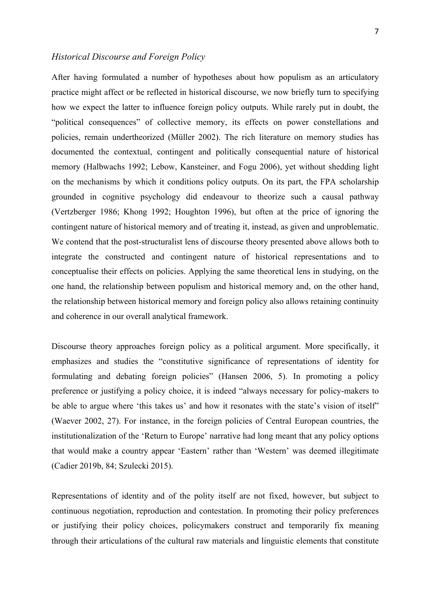#### *Historical Discourse and Foreign Policy*

After having formulated a number of hypotheses about how populism as an articulatory practice might affect or be reflected in historical discourse, we now briefly turn to specifying how we expect the latter to influence foreign policy outputs. While rarely put in doubt, the "political consequences" of collective memory, its effects on power constellations and policies, remain undertheorized (Müller 2002). The rich literature on memory studies has documented the contextual, contingent and politically consequential nature of historical memory (Halbwachs 1992; Lebow, Kansteiner, and Fogu 2006), yet without shedding light on the mechanisms by which it conditions policy outputs. On its part, the FPA scholarship grounded in cognitive psychology did endeavour to theorize such a causal pathway (Vertzberger 1986; Khong 1992; Houghton 1996), but often at the price of ignoring the contingent nature of historical memory and of treating it, instead, as given and unproblematic. We contend that the post-structuralist lens of discourse theory presented above allows both to integrate the constructed and contingent nature of historical representations and to conceptualise their effects on policies. Applying the same theoretical lens in studying, on the one hand, the relationship between populism and historical memory and, on the other hand, the relationship between historical memory and foreign policy also allows retaining continuity and coherence in our overall analytical framework.

Discourse theory approaches foreign policy as a political argument. More specifically, it emphasizes and studies the "constitutive significance of representations of identity for formulating and debating foreign policies" (Hansen 2006, 5). In promoting a policy preference or justifying a policy choice, it is indeed "always necessary for policy-makers to be able to argue where 'this takes us' and how it resonates with the state's vision of itself" (Waever 2002, 27). For instance, in the foreign policies of Central European countries, the institutionalization of the 'Return to Europe' narrative had long meant that any policy options that would make a country appear 'Eastern' rather than 'Western' was deemed illegitimate (Cadier 2019b, 84; Szulecki 2015).

Representations of identity and of the polity itself are not fixed, however, but subject to continuous negotiation, reproduction and contestation. In promoting their policy preferences or justifying their policy choices, policymakers construct and temporarily fix meaning through their articulations of the cultural raw materials and linguistic elements that constitute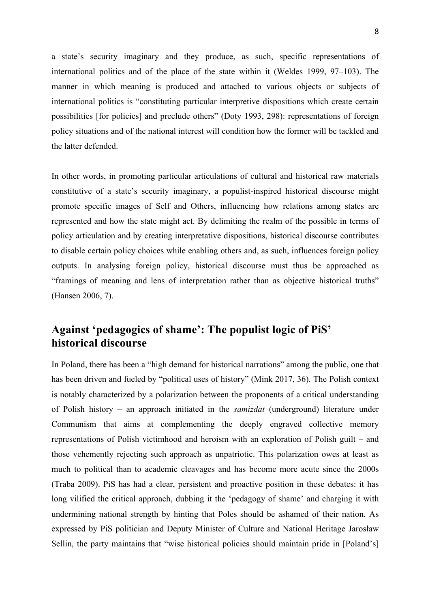a state's security imaginary and they produce, as such, specific representations of international politics and of the place of the state within it (Weldes 1999, 97–103). The manner in which meaning is produced and attached to various objects or subjects of international politics is "constituting particular interpretive dispositions which create certain possibilities [for policies] and preclude others" (Doty 1993, 298): representations of foreign policy situations and of the national interest will condition how the former will be tackled and the latter defended.

In other words, in promoting particular articulations of cultural and historical raw materials constitutive of a state's security imaginary, a populist-inspired historical discourse might promote specific images of Self and Others, influencing how relations among states are represented and how the state might act. By delimiting the realm of the possible in terms of policy articulation and by creating interpretative dispositions, historical discourse contributes to disable certain policy choices while enabling others and, as such, influences foreign policy outputs. In analysing foreign policy, historical discourse must thus be approached as "framings of meaning and lens of interpretation rather than as objective historical truths" (Hansen 2006, 7).

# **Against 'pedagogics of shame': The populist logic of PiS' historical discourse**

In Poland, there has been a "high demand for historical narrations" among the public, one that has been driven and fueled by "political uses of history" (Mink 2017, 36). The Polish context is notably characterized by a polarization between the proponents of a critical understanding of Polish history – an approach initiated in the *samizdat* (underground) literature under Communism that aims at complementing the deeply engraved collective memory representations of Polish victimhood and heroism with an exploration of Polish guilt – and those vehemently rejecting such approach as unpatriotic. This polarization owes at least as much to political than to academic cleavages and has become more acute since the 2000s (Traba 2009). PiS has had a clear, persistent and proactive position in these debates: it has long vilified the critical approach, dubbing it the 'pedagogy of shame' and charging it with undermining national strength by hinting that Poles should be ashamed of their nation. As expressed by PiS politician and Deputy Minister of Culture and National Heritage Jarosław Sellin, the party maintains that "wise historical policies should maintain pride in [Poland's]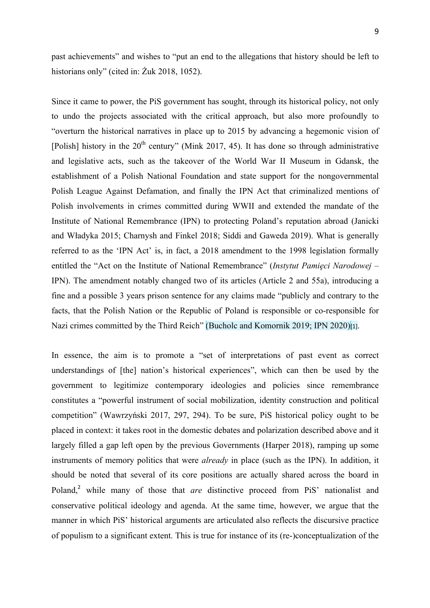past achievements" and wishes to "put an end to the allegations that history should be left to historians only" (cited in: Żuk 2018, 1052).

Since it came to power, the PiS government has sought, through its historical policy, not only to undo the projects associated with the critical approach, but also more profoundly to "overturn the historical narratives in place up to 2015 by advancing a hegemonic vision of [Polish] history in the  $20<sup>th</sup>$  century" (Mink 2017, 45). It has done so through administrative and legislative acts, such as the takeover of the World War II Museum in Gdansk, the establishment of a Polish National Foundation and state support for the nongovernmental Polish League Against Defamation, and finally the IPN Act that criminalized mentions of Polish involvements in crimes committed during WWII and extended the mandate of the Institute of National Remembrance (IPN) to protecting Poland's reputation abroad (Janicki and Władyka 2015; Charnysh and Finkel 2018; Siddi and Gaweda 2019). What is generally referred to as the 'IPN Act' is, in fact, a 2018 amendment to the 1998 legislation formally entitled the "Act on the Institute of National Remembrance" (*Instytut Pamięci Narodowej* – IPN). The amendment notably changed two of its articles (Article 2 and 55a), introducing a fine and a possible 3 years prison sentence for any claims made "publicly and contrary to the facts, that the Polish Nation or the Republic of Poland is responsible or co-responsible for Nazi crimes committed by the Third Reich" (Bucholc and Komornik 2019; IPN 2020)[1].

In essence, the aim is to promote a "set of interpretations of past event as correct understandings of [the] nation's historical experiences", which can then be used by the government to legitimize contemporary ideologies and policies since remembrance constitutes a "powerful instrument of social mobilization, identity construction and political competition" (Wawrzyński 2017, 297, 294). To be sure, PiS historical policy ought to be placed in context: it takes root in the domestic debates and polarization described above and it largely filled a gap left open by the previous Governments (Harper 2018), ramping up some instruments of memory politics that were *already* in place (such as the IPN). In addition, it should be noted that several of its core positions are actually shared across the board in Poland,<sup>2</sup> while many of those that *are* distinctive proceed from PiS' nationalist and conservative political ideology and agenda. At the same time, however, we argue that the manner in which PiS' historical arguments are articulated also reflects the discursive practice of populism to a significant extent. This is true for instance of its (re-)conceptualization of the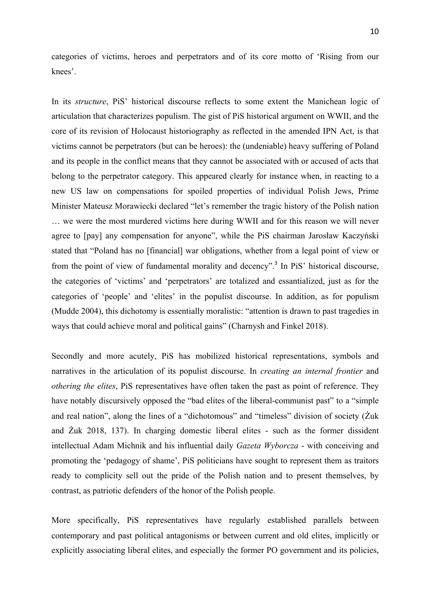categories of victims, heroes and perpetrators and of its core motto of 'Rising from our knees'.

In its *structure*, PiS' historical discourse reflects to some extent the Manichean logic of articulation that characterizes populism. The gist of PiS historical argument on WWII, and the core of its revision of Holocaust historiography as reflected in the amended IPN Act, is that victims cannot be perpetrators (but can be heroes): the (undeniable) heavy suffering of Poland and its people in the conflict means that they cannot be associated with or accused of acts that belong to the perpetrator category. This appeared clearly for instance when, in reacting to a new US law on compensations for spoiled properties of individual Polish Jews, Prime Minister Mateusz Morawiecki declared "let's remember the tragic history of the Polish nation … we were the most murdered victims here during WWII and for this reason we will never agree to [pay] any compensation for anyone", while the PiS chairman Jarosław Kaczyński stated that "Poland has no [financial] war obligations, whether from a legal point of view or from the point of view of fundamental morality and decency".<sup>3</sup> In PiS' historical discourse, the categories of 'victims' and 'perpetrators' are totalized and essantialized, just as for the categories of 'people' and 'elites' in the populist discourse. In addition, as for populism (Mudde 2004), this dichotomy is essentially moralistic: "attention is drawn to past tragedies in ways that could achieve moral and political gains" (Charnysh and Finkel 2018).

Secondly and more acutely, PiS has mobilized historical representations, symbols and narratives in the articulation of its populist discourse. In *creating an internal frontier* and *othering the elites*, PiS representatives have often taken the past as point of reference. They have notably discursively opposed the "bad elites of the liberal-communist past" to a "simple" and real nation", along the lines of a "dichotomous" and "timeless" division of society (Żuk and Żuk 2018, 137). In charging domestic liberal elites - such as the former dissident intellectual Adam Michnik and his influential daily *Gazeta Wyborcza* - with conceiving and promoting the 'pedagogy of shame', PiS politicians have sought to represent them as traitors ready to complicity sell out the pride of the Polish nation and to present themselves, by contrast, as patriotic defenders of the honor of the Polish people.

More specifically, PiS representatives have regularly established parallels between contemporary and past political antagonisms or between current and old elites, implicitly or explicitly associating liberal elites, and especially the former PO government and its policies,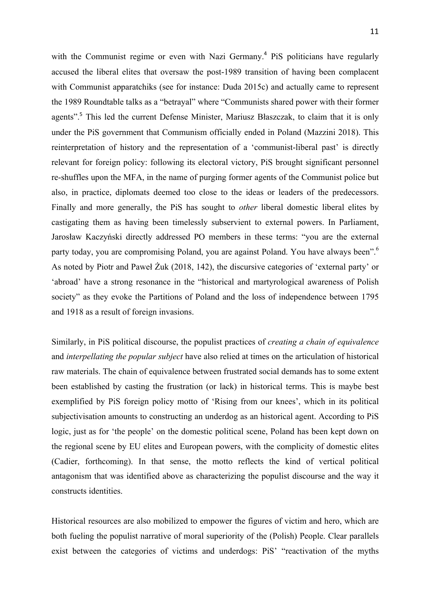with the Communist regime or even with Nazi Germany.<sup>4</sup> PiS politicians have regularly accused the liberal elites that oversaw the post-1989 transition of having been complacent with Communist apparatchiks (see for instance: Duda 2015c) and actually came to represent the 1989 Roundtable talks as a "betrayal" where "Communists shared power with their former agents".<sup>5</sup> This led the current Defense Minister, Mariusz Błaszczak, to claim that it is only under the PiS government that Communism officially ended in Poland (Mazzini 2018). This reinterpretation of history and the representation of a 'communist-liberal past' is directly relevant for foreign policy: following its electoral victory, PiS brought significant personnel re-shuffles upon the MFA, in the name of purging former agents of the Communist police but also, in practice, diplomats deemed too close to the ideas or leaders of the predecessors. Finally and more generally, the PiS has sought to *other* liberal domestic liberal elites by castigating them as having been timelessly subservient to external powers. In Parliament, Jarosław Kaczyński directly addressed PO members in these terms: "you are the external party today, you are compromising Poland, you are against Poland. You have always been".<sup>6</sup> As noted by Piotr and Paweł Żuk (2018, 142), the discursive categories of 'external party' or 'abroad' have a strong resonance in the "historical and martyrological awareness of Polish society" as they evoke the Partitions of Poland and the loss of independence between 1795 and 1918 as a result of foreign invasions.

Similarly, in PiS political discourse, the populist practices of *creating a chain of equivalence* and *interpellating the popular subject* have also relied at times on the articulation of historical raw materials. The chain of equivalence between frustrated social demands has to some extent been established by casting the frustration (or lack) in historical terms. This is maybe best exemplified by PiS foreign policy motto of 'Rising from our knees', which in its political subjectivisation amounts to constructing an underdog as an historical agent. According to PiS logic, just as for 'the people' on the domestic political scene, Poland has been kept down on the regional scene by EU elites and European powers, with the complicity of domestic elites (Cadier, forthcoming). In that sense, the motto reflects the kind of vertical political antagonism that was identified above as characterizing the populist discourse and the way it constructs identities.

Historical resources are also mobilized to empower the figures of victim and hero, which are both fueling the populist narrative of moral superiority of the (Polish) People. Clear parallels exist between the categories of victims and underdogs: PiS' "reactivation of the myths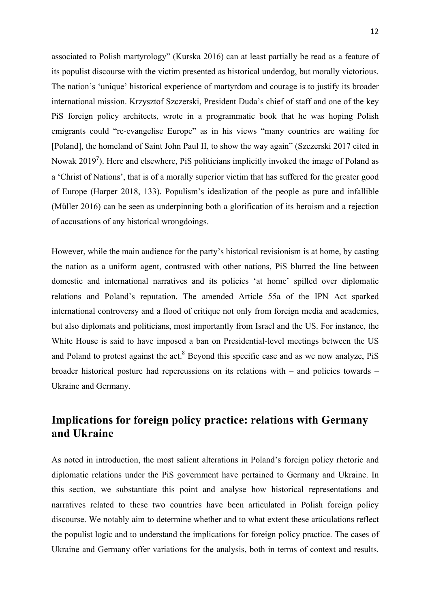associated to Polish martyrology" (Kurska 2016) can at least partially be read as a feature of its populist discourse with the victim presented as historical underdog, but morally victorious. The nation's 'unique' historical experience of martyrdom and courage is to justify its broader international mission. Krzysztof Szczerski, President Duda's chief of staff and one of the key PiS foreign policy architects, wrote in a programmatic book that he was hoping Polish emigrants could "re-evangelise Europe" as in his views "many countries are waiting for [Poland], the homeland of Saint John Paul II, to show the way again" (Szczerski 2017 cited in Nowak 2019<sup>7</sup>). Here and elsewhere, PiS politicians implicitly invoked the image of Poland as a 'Christ of Nations', that is of a morally superior victim that has suffered for the greater good of Europe (Harper 2018, 133). Populism's idealization of the people as pure and infallible (Müller 2016) can be seen as underpinning both a glorification of its heroism and a rejection of accusations of any historical wrongdoings.

However, while the main audience for the party's historical revisionism is at home, by casting the nation as a uniform agent, contrasted with other nations, PiS blurred the line between domestic and international narratives and its policies 'at home' spilled over diplomatic relations and Poland's reputation. The amended Article 55a of the IPN Act sparked international controversy and a flood of critique not only from foreign media and academics, but also diplomats and politicians, most importantly from Israel and the US. For instance, the White House is said to have imposed a ban on Presidential-level meetings between the US and Poland to protest against the act.<sup>8</sup> Beyond this specific case and as we now analyze, PiS broader historical posture had repercussions on its relations with – and policies towards – Ukraine and Germany.

# **Implications for foreign policy practice: relations with Germany and Ukraine**

As noted in introduction, the most salient alterations in Poland's foreign policy rhetoric and diplomatic relations under the PiS government have pertained to Germany and Ukraine. In this section, we substantiate this point and analyse how historical representations and narratives related to these two countries have been articulated in Polish foreign policy discourse. We notably aim to determine whether and to what extent these articulations reflect the populist logic and to understand the implications for foreign policy practice. The cases of Ukraine and Germany offer variations for the analysis, both in terms of context and results.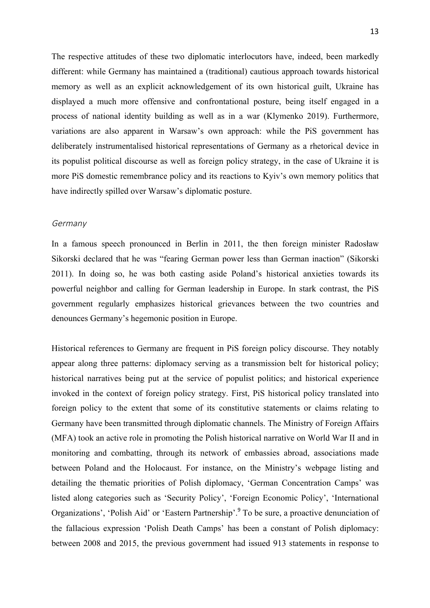The respective attitudes of these two diplomatic interlocutors have, indeed, been markedly different: while Germany has maintained a (traditional) cautious approach towards historical memory as well as an explicit acknowledgement of its own historical guilt, Ukraine has displayed a much more offensive and confrontational posture, being itself engaged in a process of national identity building as well as in a war (Klymenko 2019). Furthermore, variations are also apparent in Warsaw's own approach: while the PiS government has deliberately instrumentalised historical representations of Germany as a rhetorical device in its populist political discourse as well as foreign policy strategy, in the case of Ukraine it is more PiS domestic remembrance policy and its reactions to Kyiv's own memory politics that have indirectly spilled over Warsaw's diplomatic posture.

#### Germany

In a famous speech pronounced in Berlin in 2011, the then foreign minister Radosław Sikorski declared that he was "fearing German power less than German inaction" (Sikorski 2011). In doing so, he was both casting aside Poland's historical anxieties towards its powerful neighbor and calling for German leadership in Europe. In stark contrast, the PiS government regularly emphasizes historical grievances between the two countries and denounces Germany's hegemonic position in Europe.

Historical references to Germany are frequent in PiS foreign policy discourse. They notably appear along three patterns: diplomacy serving as a transmission belt for historical policy; historical narratives being put at the service of populist politics; and historical experience invoked in the context of foreign policy strategy. First, PiS historical policy translated into foreign policy to the extent that some of its constitutive statements or claims relating to Germany have been transmitted through diplomatic channels. The Ministry of Foreign Affairs (MFA) took an active role in promoting the Polish historical narrative on World War II and in monitoring and combatting, through its network of embassies abroad, associations made between Poland and the Holocaust. For instance, on the Ministry's webpage listing and detailing the thematic priorities of Polish diplomacy, 'German Concentration Camps' was listed along categories such as 'Security Policy', 'Foreign Economic Policy', 'International Organizations', 'Polish Aid' or 'Eastern Partnership'.<sup>9</sup> To be sure, a proactive denunciation of the fallacious expression 'Polish Death Camps' has been a constant of Polish diplomacy: between 2008 and 2015, the previous government had issued 913 statements in response to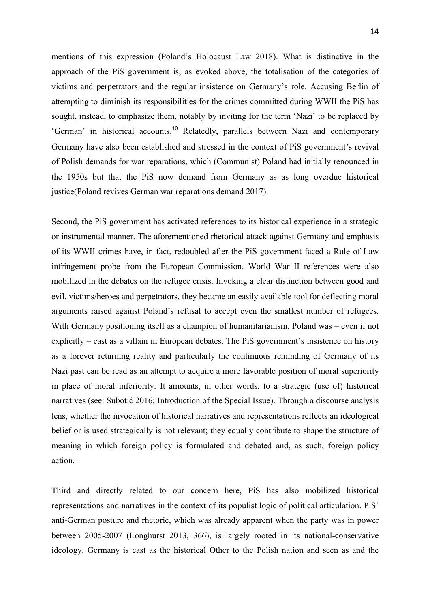mentions of this expression (Poland's Holocaust Law 2018). What is distinctive in the approach of the PiS government is, as evoked above, the totalisation of the categories of victims and perpetrators and the regular insistence on Germany's role. Accusing Berlin of attempting to diminish its responsibilities for the crimes committed during WWII the PiS has sought, instead, to emphasize them, notably by inviting for the term 'Nazi' to be replaced by 'German' in historical accounts.<sup>10</sup> Relatedly, parallels between Nazi and contemporary Germany have also been established and stressed in the context of PiS government's revival of Polish demands for war reparations, which (Communist) Poland had initially renounced in the 1950s but that the PiS now demand from Germany as as long overdue historical justice(Poland revives German war reparations demand 2017).

Second, the PiS government has activated references to its historical experience in a strategic or instrumental manner. The aforementioned rhetorical attack against Germany and emphasis of its WWII crimes have, in fact, redoubled after the PiS government faced a Rule of Law infringement probe from the European Commission. World War II references were also mobilized in the debates on the refugee crisis. Invoking a clear distinction between good and evil, victims/heroes and perpetrators, they became an easily available tool for deflecting moral arguments raised against Poland's refusal to accept even the smallest number of refugees. With Germany positioning itself as a champion of humanitarianism, Poland was – even if not explicitly – cast as a villain in European debates. The PiS government's insistence on history as a forever returning reality and particularly the continuous reminding of Germany of its Nazi past can be read as an attempt to acquire a more favorable position of moral superiority in place of moral inferiority. It amounts, in other words, to a strategic (use of) historical narratives (see: Subotić 2016; Introduction of the Special Issue). Through a discourse analysis lens, whether the invocation of historical narratives and representations reflects an ideological belief or is used strategically is not relevant; they equally contribute to shape the structure of meaning in which foreign policy is formulated and debated and, as such, foreign policy action.

Third and directly related to our concern here, PiS has also mobilized historical representations and narratives in the context of its populist logic of political articulation. PiS' anti-German posture and rhetoric, which was already apparent when the party was in power between 2005-2007 (Longhurst 2013, 366), is largely rooted in its national-conservative ideology. Germany is cast as the historical Other to the Polish nation and seen as and the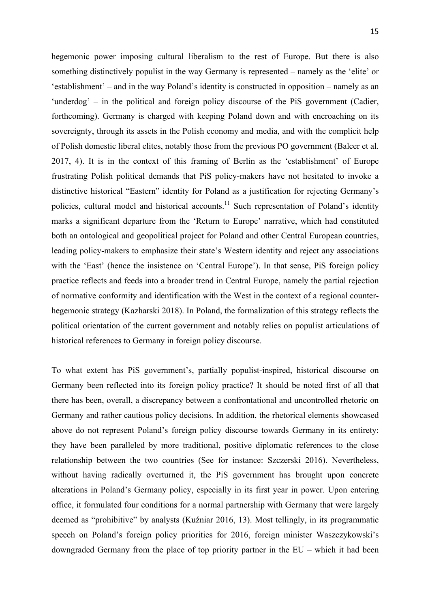hegemonic power imposing cultural liberalism to the rest of Europe. But there is also something distinctively populist in the way Germany is represented – namely as the 'elite' or 'establishment' – and in the way Poland's identity is constructed in opposition – namely as an 'underdog' – in the political and foreign policy discourse of the PiS government (Cadier, forthcoming). Germany is charged with keeping Poland down and with encroaching on its sovereignty, through its assets in the Polish economy and media, and with the complicit help of Polish domestic liberal elites, notably those from the previous PO government (Balcer et al. 2017, 4). It is in the context of this framing of Berlin as the 'establishment' of Europe frustrating Polish political demands that PiS policy-makers have not hesitated to invoke a distinctive historical "Eastern" identity for Poland as a justification for rejecting Germany's policies, cultural model and historical accounts.<sup>11</sup> Such representation of Poland's identity marks a significant departure from the 'Return to Europe' narrative, which had constituted both an ontological and geopolitical project for Poland and other Central European countries, leading policy-makers to emphasize their state's Western identity and reject any associations with the 'East' (hence the insistence on 'Central Europe'). In that sense, PiS foreign policy practice reflects and feeds into a broader trend in Central Europe, namely the partial rejection of normative conformity and identification with the West in the context of a regional counterhegemonic strategy (Kazharski 2018). In Poland, the formalization of this strategy reflects the political orientation of the current government and notably relies on populist articulations of historical references to Germany in foreign policy discourse.

To what extent has PiS government's, partially populist-inspired, historical discourse on Germany been reflected into its foreign policy practice? It should be noted first of all that there has been, overall, a discrepancy between a confrontational and uncontrolled rhetoric on Germany and rather cautious policy decisions. In addition, the rhetorical elements showcased above do not represent Poland's foreign policy discourse towards Germany in its entirety: they have been paralleled by more traditional, positive diplomatic references to the close relationship between the two countries (See for instance: Szczerski 2016). Nevertheless, without having radically overturned it, the PiS government has brought upon concrete alterations in Poland's Germany policy, especially in its first year in power. Upon entering office, it formulated four conditions for a normal partnership with Germany that were largely deemed as "prohibitive" by analysts (Kuźniar 2016, 13). Most tellingly, in its programmatic speech on Poland's foreign policy priorities for 2016, foreign minister Waszczykowski's downgraded Germany from the place of top priority partner in the EU – which it had been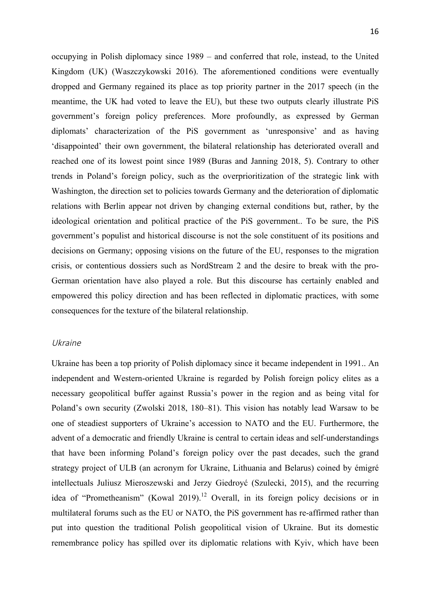occupying in Polish diplomacy since 1989 – and conferred that role, instead, to the United

Kingdom (UK) (Waszczykowski 2016). The aforementioned conditions were eventually dropped and Germany regained its place as top priority partner in the 2017 speech (in the meantime, the UK had voted to leave the EU), but these two outputs clearly illustrate PiS government's foreign policy preferences. More profoundly, as expressed by German diplomats' characterization of the PiS government as 'unresponsive' and as having 'disappointed' their own government, the bilateral relationship has deteriorated overall and reached one of its lowest point since 1989 (Buras and Janning 2018, 5). Contrary to other trends in Poland's foreign policy, such as the overprioritization of the strategic link with Washington, the direction set to policies towards Germany and the deterioration of diplomatic relations with Berlin appear not driven by changing external conditions but, rather, by the ideological orientation and political practice of the PiS government.. To be sure, the PiS government's populist and historical discourse is not the sole constituent of its positions and decisions on Germany; opposing visions on the future of the EU, responses to the migration crisis, or contentious dossiers such as NordStream 2 and the desire to break with the pro-German orientation have also played a role. But this discourse has certainly enabled and empowered this policy direction and has been reflected in diplomatic practices, with some consequences for the texture of the bilateral relationship.

#### Ukraine

Ukraine has been a top priority of Polish diplomacy since it became independent in 1991.. An independent and Western-oriented Ukraine is regarded by Polish foreign policy elites as a necessary geopolitical buffer against Russia's power in the region and as being vital for Poland's own security (Zwolski 2018, 180–81). This vision has notably lead Warsaw to be one of steadiest supporters of Ukraine's accession to NATO and the EU. Furthermore, the advent of a democratic and friendly Ukraine is central to certain ideas and self-understandings that have been informing Poland's foreign policy over the past decades, such the grand strategy project of ULB (an acronym for Ukraine, Lithuania and Belarus) coined by émigré intellectuals Juliusz Mieroszewski and Jerzy Giedroyć (Szulecki, 2015), and the recurring idea of "Prometheanism" (Kowal 2019).<sup>12</sup> Overall, in its foreign policy decisions or in multilateral forums such as the EU or NATO, the PiS government has re-affirmed rather than put into question the traditional Polish geopolitical vision of Ukraine. But its domestic remembrance policy has spilled over its diplomatic relations with Kyiv, which have been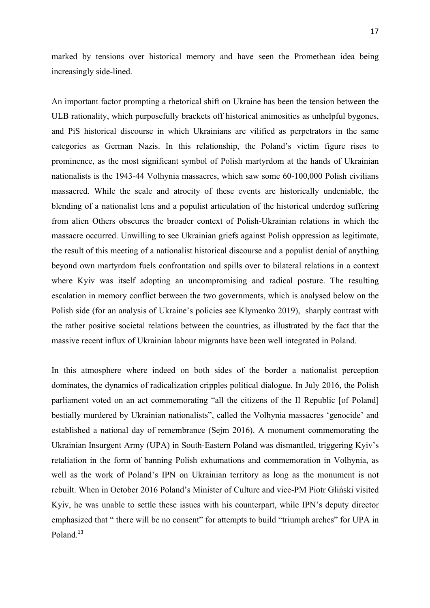marked by tensions over historical memory and have seen the Promethean idea being increasingly side-lined.

An important factor prompting a rhetorical shift on Ukraine has been the tension between the ULB rationality, which purposefully brackets off historical animosities as unhelpful bygones, and PiS historical discourse in which Ukrainians are vilified as perpetrators in the same categories as German Nazis. In this relationship, the Poland's victim figure rises to prominence, as the most significant symbol of Polish martyrdom at the hands of Ukrainian nationalists is the 1943-44 Volhynia massacres, which saw some 60-100,000 Polish civilians massacred. While the scale and atrocity of these events are historically undeniable, the blending of a nationalist lens and a populist articulation of the historical underdog suffering from alien Others obscures the broader context of Polish-Ukrainian relations in which the massacre occurred. Unwilling to see Ukrainian griefs against Polish oppression as legitimate, the result of this meeting of a nationalist historical discourse and a populist denial of anything beyond own martyrdom fuels confrontation and spills over to bilateral relations in a context where Kyiv was itself adopting an uncompromising and radical posture. The resulting escalation in memory conflict between the two governments, which is analysed below on the Polish side (for an analysis of Ukraine's policies see Klymenko 2019), sharply contrast with the rather positive societal relations between the countries, as illustrated by the fact that the massive recent influx of Ukrainian labour migrants have been well integrated in Poland.

In this atmosphere where indeed on both sides of the border a nationalist perception dominates, the dynamics of radicalization cripples political dialogue. In July 2016, the Polish parliament voted on an act commemorating "all the citizens of the II Republic [of Poland] bestially murdered by Ukrainian nationalists", called the Volhynia massacres 'genocide' and established a national day of remembrance (Sejm 2016). A monument commemorating the Ukrainian Insurgent Army (UPA) in South-Eastern Poland was dismantled, triggering Kyiv's retaliation in the form of banning Polish exhumations and commemoration in Volhynia, as well as the work of Poland's IPN on Ukrainian territory as long as the monument is not rebuilt. When in October 2016 Poland's Minister of Culture and vice-PM Piotr Gliński visited Kyiv, he was unable to settle these issues with his counterpart, while IPN's deputy director emphasized that " there will be no consent" for attempts to build "triumph arches" for UPA in Poland.<sup>13</sup>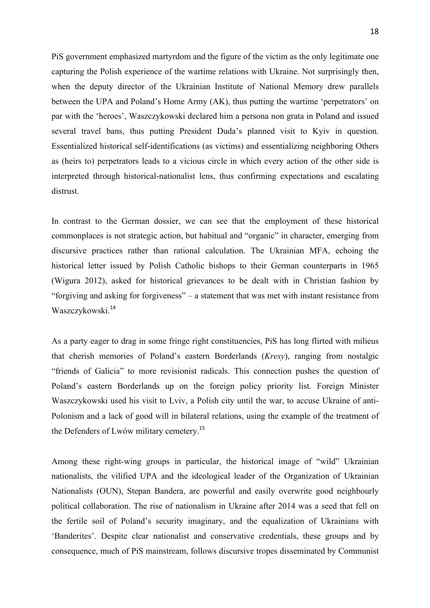PiS government emphasized martyrdom and the figure of the victim as the only legitimate one capturing the Polish experience of the wartime relations with Ukraine. Not surprisingly then, when the deputy director of the Ukrainian Institute of National Memory drew parallels between the UPA and Poland's Home Army (AK), thus putting the wartime 'perpetrators' on par with the 'heroes', Waszczykowski declared him a persona non grata in Poland and issued several travel bans, thus putting President Duda's planned visit to Kyiv in question. Essentialized historical self-identifications (as victims) and essentializing neighboring Others as (heirs to) perpetrators leads to a vicious circle in which every action of the other side is interpreted through historical-nationalist lens, thus confirming expectations and escalating distrust.

In contrast to the German dossier, we can see that the employment of these historical commonplaces is not strategic action, but habitual and "organic" in character, emerging from discursive practices rather than rational calculation. The Ukrainian MFA, echoing the historical letter issued by Polish Catholic bishops to their German counterparts in 1965 (Wigura 2012), asked for historical grievances to be dealt with in Christian fashion by "forgiving and asking for forgiveness" – a statement that was met with instant resistance from Waszczykowski.<sup>14</sup>

As a party eager to drag in some fringe right constituencies, PiS has long flirted with milieus that cherish memories of Poland's eastern Borderlands (*Kresy*), ranging from nostalgic "friends of Galicia" to more revisionist radicals. This connection pushes the question of Poland's eastern Borderlands up on the foreign policy priority list. Foreign Minister Waszczykowski used his visit to Lviv, a Polish city until the war, to accuse Ukraine of anti-Polonism and a lack of good will in bilateral relations, using the example of the treatment of the Defenders of Lwów military cemetery.<sup>15</sup>

Among these right-wing groups in particular, the historical image of "wild" Ukrainian nationalists, the vilified UPA and the ideological leader of the Organization of Ukrainian Nationalists (OUN), Stepan Bandera, are powerful and easily overwrite good neighbourly political collaboration. The rise of nationalism in Ukraine after 2014 was a seed that fell on the fertile soil of Poland's security imaginary, and the equalization of Ukrainians with 'Banderites'. Despite clear nationalist and conservative credentials, these groups and by consequence, much of PiS mainstream, follows discursive tropes disseminated by Communist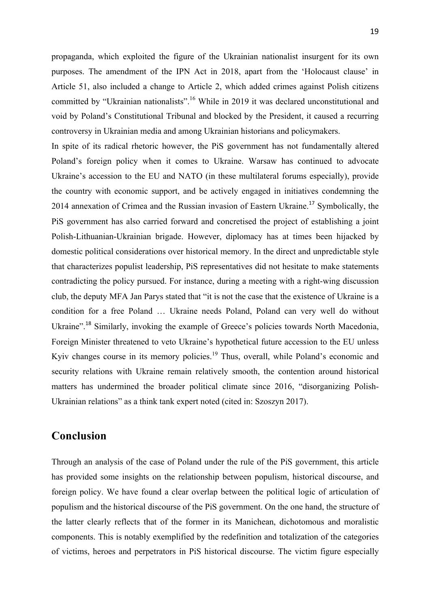propaganda, which exploited the figure of the Ukrainian nationalist insurgent for its own purposes. The amendment of the IPN Act in 2018, apart from the 'Holocaust clause' in Article 51, also included a change to Article 2, which added crimes against Polish citizens committed by "Ukrainian nationalists".<sup>16</sup> While in 2019 it was declared unconstitutional and void by Poland's Constitutional Tribunal and blocked by the President, it caused a recurring controversy in Ukrainian media and among Ukrainian historians and policymakers.

In spite of its radical rhetoric however, the PiS government has not fundamentally altered Poland's foreign policy when it comes to Ukraine. Warsaw has continued to advocate Ukraine's accession to the EU and NATO (in these multilateral forums especially), provide the country with economic support, and be actively engaged in initiatives condemning the 2014 annexation of Crimea and the Russian invasion of Eastern Ukraine.<sup>17</sup> Symbolically, the PiS government has also carried forward and concretised the project of establishing a joint Polish-Lithuanian-Ukrainian brigade. However, diplomacy has at times been hijacked by domestic political considerations over historical memory. In the direct and unpredictable style that characterizes populist leadership, PiS representatives did not hesitate to make statements contradicting the policy pursued. For instance, during a meeting with a right-wing discussion club, the deputy MFA Jan Parys stated that "it is not the case that the existence of Ukraine is a condition for a free Poland … Ukraine needs Poland, Poland can very well do without Ukraine".<sup>18</sup> Similarly, invoking the example of Greece's policies towards North Macedonia, Foreign Minister threatened to veto Ukraine's hypothetical future accession to the EU unless Kyiv changes course in its memory policies.<sup>19</sup> Thus, overall, while Poland's economic and security relations with Ukraine remain relatively smooth, the contention around historical matters has undermined the broader political climate since 2016, "disorganizing Polish-Ukrainian relations" as a think tank expert noted (cited in: Szoszyn 2017).

## **Conclusion**

Through an analysis of the case of Poland under the rule of the PiS government, this article has provided some insights on the relationship between populism, historical discourse, and foreign policy. We have found a clear overlap between the political logic of articulation of populism and the historical discourse of the PiS government. On the one hand, the structure of the latter clearly reflects that of the former in its Manichean, dichotomous and moralistic components. This is notably exemplified by the redefinition and totalization of the categories of victims, heroes and perpetrators in PiS historical discourse. The victim figure especially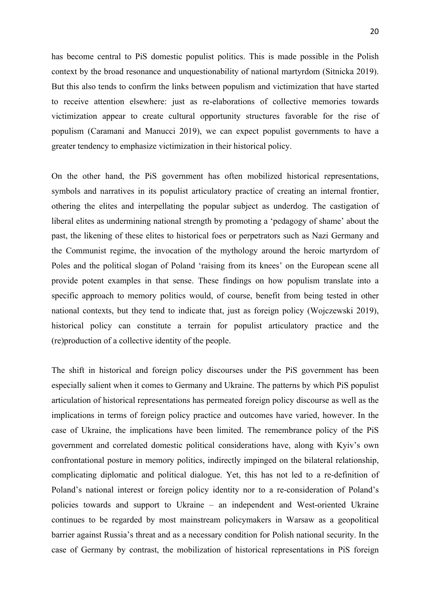has become central to PiS domestic populist politics. This is made possible in the Polish context by the broad resonance and unquestionability of national martyrdom (Sitnicka 2019). But this also tends to confirm the links between populism and victimization that have started to receive attention elsewhere: just as re-elaborations of collective memories towards victimization appear to create cultural opportunity structures favorable for the rise of populism (Caramani and Manucci 2019), we can expect populist governments to have a greater tendency to emphasize victimization in their historical policy.

On the other hand, the PiS government has often mobilized historical representations, symbols and narratives in its populist articulatory practice of creating an internal frontier, othering the elites and interpellating the popular subject as underdog. The castigation of liberal elites as undermining national strength by promoting a 'pedagogy of shame' about the past, the likening of these elites to historical foes or perpetrators such as Nazi Germany and the Communist regime, the invocation of the mythology around the heroic martyrdom of Poles and the political slogan of Poland 'raising from its knees' on the European scene all provide potent examples in that sense. These findings on how populism translate into a specific approach to memory politics would, of course, benefit from being tested in other national contexts, but they tend to indicate that, just as foreign policy (Wojczewski 2019), historical policy can constitute a terrain for populist articulatory practice and the (re)production of a collective identity of the people.

The shift in historical and foreign policy discourses under the PiS government has been especially salient when it comes to Germany and Ukraine. The patterns by which PiS populist articulation of historical representations has permeated foreign policy discourse as well as the implications in terms of foreign policy practice and outcomes have varied, however. In the case of Ukraine, the implications have been limited. The remembrance policy of the PiS government and correlated domestic political considerations have, along with Kyiv's own confrontational posture in memory politics, indirectly impinged on the bilateral relationship, complicating diplomatic and political dialogue. Yet, this has not led to a re-definition of Poland's national interest or foreign policy identity nor to a re-consideration of Poland's policies towards and support to Ukraine – an independent and West-oriented Ukraine continues to be regarded by most mainstream policymakers in Warsaw as a geopolitical barrier against Russia's threat and as a necessary condition for Polish national security. In the case of Germany by contrast, the mobilization of historical representations in PiS foreign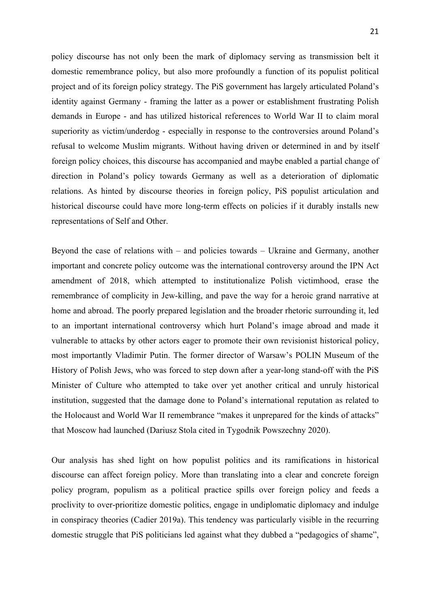policy discourse has not only been the mark of diplomacy serving as transmission belt it domestic remembrance policy, but also more profoundly a function of its populist political project and of its foreign policy strategy. The PiS government has largely articulated Poland's identity against Germany - framing the latter as a power or establishment frustrating Polish demands in Europe - and has utilized historical references to World War II to claim moral superiority as victim/underdog - especially in response to the controversies around Poland's refusal to welcome Muslim migrants. Without having driven or determined in and by itself foreign policy choices, this discourse has accompanied and maybe enabled a partial change of direction in Poland's policy towards Germany as well as a deterioration of diplomatic relations. As hinted by discourse theories in foreign policy, PiS populist articulation and historical discourse could have more long-term effects on policies if it durably installs new representations of Self and Other.

Beyond the case of relations with – and policies towards – Ukraine and Germany, another important and concrete policy outcome was the international controversy around the IPN Act amendment of 2018, which attempted to institutionalize Polish victimhood, erase the remembrance of complicity in Jew-killing, and pave the way for a heroic grand narrative at home and abroad. The poorly prepared legislation and the broader rhetoric surrounding it, led to an important international controversy which hurt Poland's image abroad and made it vulnerable to attacks by other actors eager to promote their own revisionist historical policy, most importantly Vladimir Putin. The former director of Warsaw's POLIN Museum of the History of Polish Jews, who was forced to step down after a year-long stand-off with the PiS Minister of Culture who attempted to take over yet another critical and unruly historical institution, suggested that the damage done to Poland's international reputation as related to the Holocaust and World War II remembrance "makes it unprepared for the kinds of attacks" that Moscow had launched (Dariusz Stola cited in Tygodnik Powszechny 2020).

Our analysis has shed light on how populist politics and its ramifications in historical discourse can affect foreign policy. More than translating into a clear and concrete foreign policy program, populism as a political practice spills over foreign policy and feeds a proclivity to over-prioritize domestic politics, engage in undiplomatic diplomacy and indulge in conspiracy theories (Cadier 2019a). This tendency was particularly visible in the recurring domestic struggle that PiS politicians led against what they dubbed a "pedagogics of shame",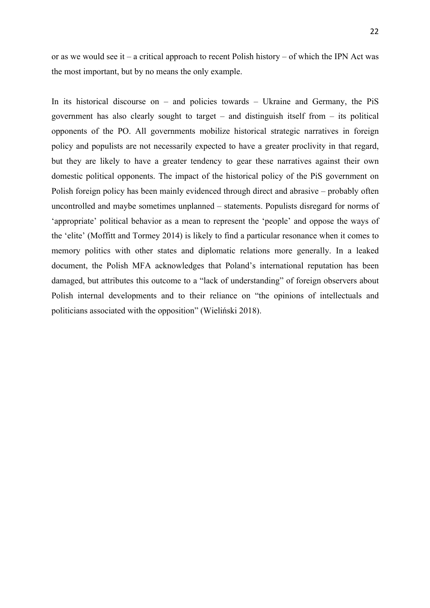or as we would see it – a critical approach to recent Polish history – of which the IPN Act was the most important, but by no means the only example.

In its historical discourse on – and policies towards – Ukraine and Germany, the PiS government has also clearly sought to target – and distinguish itself from – its political opponents of the PO. All governments mobilize historical strategic narratives in foreign policy and populists are not necessarily expected to have a greater proclivity in that regard, but they are likely to have a greater tendency to gear these narratives against their own domestic political opponents. The impact of the historical policy of the PiS government on Polish foreign policy has been mainly evidenced through direct and abrasive – probably often uncontrolled and maybe sometimes unplanned – statements. Populists disregard for norms of 'appropriate' political behavior as a mean to represent the 'people' and oppose the ways of the 'elite' (Moffitt and Tormey 2014) is likely to find a particular resonance when it comes to memory politics with other states and diplomatic relations more generally. In a leaked document, the Polish MFA acknowledges that Poland's international reputation has been damaged, but attributes this outcome to a "lack of understanding" of foreign observers about Polish internal developments and to their reliance on "the opinions of intellectuals and politicians associated with the opposition" (Wieliński 2018).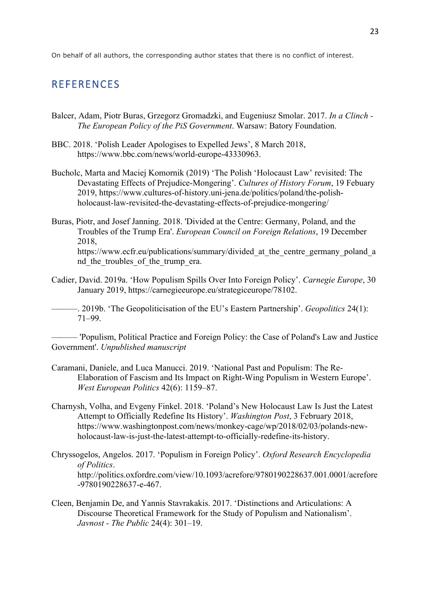On behalf of all authors, the corresponding author states that there is no conflict of interest.

## **REFERENCES**

- Balcer, Adam, Piotr Buras, Grzegorz Gromadzki, and Eugeniusz Smolar. 2017. *In a Clinch - The European Policy of the PiS Government*. Warsaw: Batory Foundation.
- BBC. 2018. 'Polish Leader Apologises to Expelled Jews', 8 March 2018, https://www.bbc.com/news/world-europe-43330963.
- Bucholc, Marta and Maciej Komornik (2019) 'The Polish 'Holocaust Law' revisited: The Devastating Effects of Prejudice-Mongering'. *Cultures of History Forum*, 19 Febuary 2019, https://www.cultures-of-history.uni-jena.de/politics/poland/the-polishholocaust-law-revisited-the-devastating-effects-of-prejudice-mongering/
- Buras, Piotr, and Josef Janning. 2018. 'Divided at the Centre: Germany, Poland, and the Troubles of the Trump Era'. *European Council on Foreign Relations*, 19 December 2018, https://www.ecfr.eu/publications/summary/divided at the centre germany poland a nd the troubles of the trump era.
- Cadier, David. 2019a. 'How Populism Spills Over Into Foreign Policy'. *Carnegie Europe*, 30 January 2019, https://carnegieeurope.eu/strategiceurope/78102.

———. 2019b. 'The Geopoliticisation of the EU's Eastern Partnership'. *Geopolitics* 24(1): 71–99.

——— 'Populism, Political Practice and Foreign Policy: the Case of Poland's Law and Justice Government'. *Unpublished manuscript*

- Caramani, Daniele, and Luca Manucci. 2019. 'National Past and Populism: The Re-Elaboration of Fascism and Its Impact on Right-Wing Populism in Western Europe'. *West European Politics* 42(6): 1159–87.
- Charnysh, Volha, and Evgeny Finkel. 2018. 'Poland's New Holocaust Law Is Just the Latest Attempt to Officially Redefine Its History'. *Washington Post*, 3 February 2018, https://www.washingtonpost.com/news/monkey-cage/wp/2018/02/03/polands-newholocaust-law-is-just-the-latest-attempt-to-officially-redefine-its-history.
- Chryssogelos, Angelos. 2017. 'Populism in Foreign Policy'. *Oxford Research Encyclopedia of Politics*. http://politics.oxfordre.com/view/10.1093/acrefore/9780190228637.001.0001/acrefore -9780190228637-e-467.
- Cleen, Benjamin De, and Yannis Stavrakakis. 2017. 'Distinctions and Articulations: A Discourse Theoretical Framework for the Study of Populism and Nationalism'. *Javnost - The Public* 24(4): 301–19.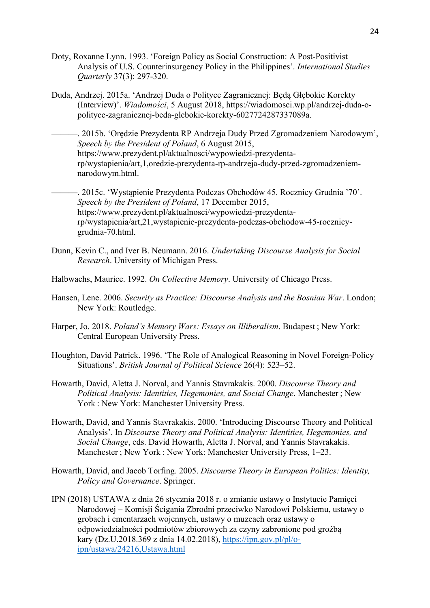- Doty, Roxanne Lynn. 1993. 'Foreign Policy as Social Construction: A Post-Positivist Analysis of U.S. Counterinsurgency Policy in the Philippines'. *International Studies Quarterly* 37(3): 297-320.
- Duda, Andrzej. 2015a. 'Andrzej Duda o Polityce Zagranicznej: Będą Głębokie Korekty (Interview)'. *Wiadomości*, 5 August 2018, https://wiadomosci.wp.pl/andrzej-duda-opolityce-zagranicznej-beda-glebokie-korekty-6027724287337089a.
	- ———. 2015b. 'Orędzie Prezydenta RP Andrzeja Dudy Przed Zgromadzeniem Narodowym', *Speech by the President of Poland*, 6 August 2015, https://www.prezydent.pl/aktualnosci/wypowiedzi-prezydentarp/wystapienia/art,1,oredzie-prezydenta-rp-andrzeja-dudy-przed-zgromadzeniemnarodowym.html.

———. 2015c. 'Wystąpienie Prezydenta Podczas Obchodów 45. Rocznicy Grudnia '70'. *Speech by the President of Poland*, 17 December 2015, https://www.prezydent.pl/aktualnosci/wypowiedzi-prezydentarp/wystapienia/art,21,wystapienie-prezydenta-podczas-obchodow-45-rocznicygrudnia-70.html.

- Dunn, Kevin C., and Iver B. Neumann. 2016. *Undertaking Discourse Analysis for Social Research*. University of Michigan Press.
- Halbwachs, Maurice. 1992. *On Collective Memory*. University of Chicago Press.
- Hansen, Lene. 2006. *Security as Practice: Discourse Analysis and the Bosnian War*. London; New York: Routledge.
- Harper, Jo. 2018. *Poland's Memory Wars: Essays on Illiberalism*. Budapest ; New York: Central European University Press.
- Houghton, David Patrick. 1996. 'The Role of Analogical Reasoning in Novel Foreign-Policy Situations'. *British Journal of Political Science* 26(4): 523–52.
- Howarth, David, Aletta J. Norval, and Yannis Stavrakakis. 2000. *Discourse Theory and Political Analysis: Identities, Hegemonies, and Social Change*. Manchester ; New York : New York: Manchester University Press.
- Howarth, David, and Yannis Stavrakakis. 2000. 'Introducing Discourse Theory and Political Analysis'. In *Discourse Theory and Political Analysis: Identities, Hegemonies, and Social Change*, eds. David Howarth, Aletta J. Norval, and Yannis Stavrakakis. Manchester ; New York : New York: Manchester University Press, 1–23.
- Howarth, David, and Jacob Torfing. 2005. *Discourse Theory in European Politics: Identity, Policy and Governance*. Springer.
- IPN (2018) USTAWA z dnia 26 stycznia 2018 r. o zmianie ustawy o Instytucie Pamięci Narodowej – Komisji Ścigania Zbrodni przeciwko Narodowi Polskiemu, ustawy o grobach i cmentarzach wojennych, ustawy o muzeach oraz ustawy o odpowiedzialności podmiotów zbiorowych za czyny zabronione pod groźbą kary (Dz.U.2018.369 z dnia 14.02.2018), https://ipn.gov.pl/pl/oipn/ustawa/24216,Ustawa.html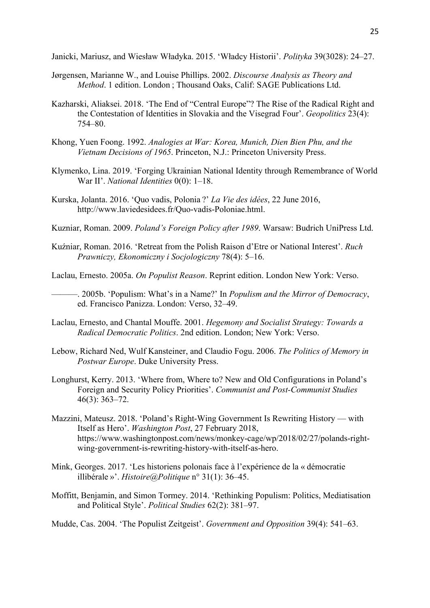Janicki, Mariusz, and Wiesław Władyka. 2015. 'Władcy Historii'. *Polityka* 39(3028): 24–27.

- Jørgensen, Marianne W., and Louise Phillips. 2002. *Discourse Analysis as Theory and Method*. 1 edition. London ; Thousand Oaks, Calif: SAGE Publications Ltd.
- Kazharski, Aliaksei. 2018. 'The End of "Central Europe"? The Rise of the Radical Right and the Contestation of Identities in Slovakia and the Visegrad Four'. *Geopolitics* 23(4): 754–80.
- Khong, Yuen Foong. 1992. *Analogies at War: Korea, Munich, Dien Bien Phu, and the Vietnam Decisions of 1965*. Princeton, N.J.: Princeton University Press.
- Klymenko, Lina. 2019. 'Forging Ukrainian National Identity through Remembrance of World War II'. *National Identities* 0(0): 1–18.
- Kurska, Jolanta. 2016. 'Quo vadis, Polonia ?' *La Vie des idées*, 22 June 2016, http://www.laviedesidees.fr/Quo-vadis-Poloniae.html.

Kuzniar, Roman. 2009. *Poland's Foreign Policy after 1989*. Warsaw: Budrich UniPress Ltd.

Kuźniar, Roman. 2016. 'Retreat from the Polish Raison d'Etre or National Interest'. *Ruch Prawniczy, Ekonomiczny i Socjologiczny* 78(4): 5–16.

Laclau, Ernesto. 2005a. *On Populist Reason*. Reprint edition. London New York: Verso.

———. 2005b. 'Populism: What's in a Name?' In *Populism and the Mirror of Democracy*, ed. Francisco Panizza. London: Verso, 32–49.

- Laclau, Ernesto, and Chantal Mouffe. 2001. *Hegemony and Socialist Strategy: Towards a Radical Democratic Politics*. 2nd edition. London; New York: Verso.
- Lebow, Richard Ned, Wulf Kansteiner, and Claudio Fogu. 2006. *The Politics of Memory in Postwar Europe*. Duke University Press.
- Longhurst, Kerry. 2013. 'Where from, Where to? New and Old Configurations in Poland's Foreign and Security Policy Priorities'. *Communist and Post-Communist Studies* 46(3): 363–72.
- Mazzini, Mateusz. 2018. 'Poland's Right-Wing Government Is Rewriting History with Itself as Hero'. *Washington Post*, 27 February 2018, https://www.washingtonpost.com/news/monkey-cage/wp/2018/02/27/polands-rightwing-government-is-rewriting-history-with-itself-as-hero.
- Mink, Georges. 2017. 'Les historiens polonais face à l'expérience de la « démocratie illibérale »'. *Histoire@Politique* n° 31(1): 36–45.
- Moffitt, Benjamin, and Simon Tormey. 2014. 'Rethinking Populism: Politics, Mediatisation and Political Style'. *Political Studies* 62(2): 381–97.

Mudde, Cas. 2004. 'The Populist Zeitgeist'. *Government and Opposition* 39(4): 541–63.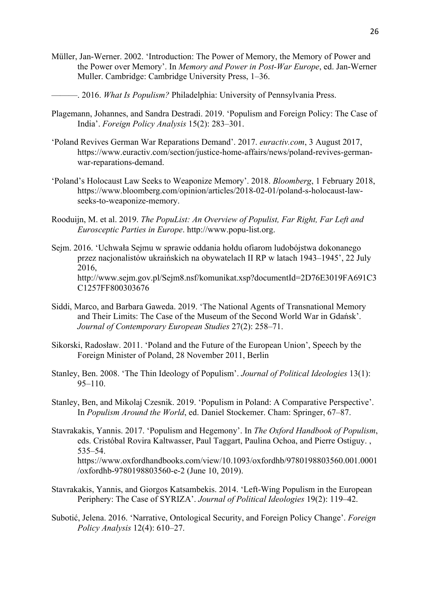- Müller, Jan-Werner. 2002. 'Introduction: The Power of Memory, the Memory of Power and the Power over Memory'. In *Memory and Power in Post-War Europe*, ed. Jan-Werner Muller. Cambridge: Cambridge University Press, 1–36.
	- ———. 2016. *What Is Populism?* Philadelphia: University of Pennsylvania Press.
- Plagemann, Johannes, and Sandra Destradi. 2019. 'Populism and Foreign Policy: The Case of India'. *Foreign Policy Analysis* 15(2): 283–301.
- 'Poland Revives German War Reparations Demand'. 2017. *euractiv.com*, 3 August 2017, https://www.euractiv.com/section/justice-home-affairs/news/poland-revives-germanwar-reparations-demand.
- 'Poland's Holocaust Law Seeks to Weaponize Memory'. 2018. *Bloomberg*, 1 February 2018, https://www.bloomberg.com/opinion/articles/2018-02-01/poland-s-holocaust-lawseeks-to-weaponize-memory.
- Rooduijn, M. et al. 2019. *The PopuList: An Overview of Populist, Far Right, Far Left and Eurosceptic Parties in Europe*. http://www.popu-list.org.
- Sejm. 2016. 'Uchwała Sejmu w sprawie oddania hołdu ofiarom ludobójstwa dokonanego przez nacjonalistów ukraińskich na obywatelach II RP w latach 1943–1945', 22 July 2016, http://www.sejm.gov.pl/Sejm8.nsf/komunikat.xsp?documentId=2D76E3019FA691C3 C1257FF800303676
- Siddi, Marco, and Barbara Gaweda. 2019. 'The National Agents of Transnational Memory and Their Limits: The Case of the Museum of the Second World War in Gdańsk'. *Journal of Contemporary European Studies* 27(2): 258–71.
- Sikorski, Radosław. 2011. 'Poland and the Future of the European Union', Speech by the Foreign Minister of Poland, 28 November 2011, Berlin
- Stanley, Ben. 2008. 'The Thin Ideology of Populism'. *Journal of Political Ideologies* 13(1): 95–110.
- Stanley, Ben, and Mikolaj Czesnik. 2019. 'Populism in Poland: A Comparative Perspective'. In *Populism Around the World*, ed. Daniel Stockemer. Cham: Springer, 67–87.
- Stavrakakis, Yannis. 2017. 'Populism and Hegemony'. In *The Oxford Handbook of Populism*, eds. Cristóbal Rovira Kaltwasser, Paul Taggart, Paulina Ochoa, and Pierre Ostiguy. , 535–54. https://www.oxfordhandbooks.com/view/10.1093/oxfordhb/9780198803560.001.0001 /oxfordhb-9780198803560-e-2 (June 10, 2019).
- Stavrakakis, Yannis, and Giorgos Katsambekis. 2014. 'Left-Wing Populism in the European Periphery: The Case of SYRIZA'. *Journal of Political Ideologies* 19(2): 119–42.
- Subotić, Jelena. 2016. 'Narrative, Ontological Security, and Foreign Policy Change'. *Foreign Policy Analysis* 12(4): 610–27.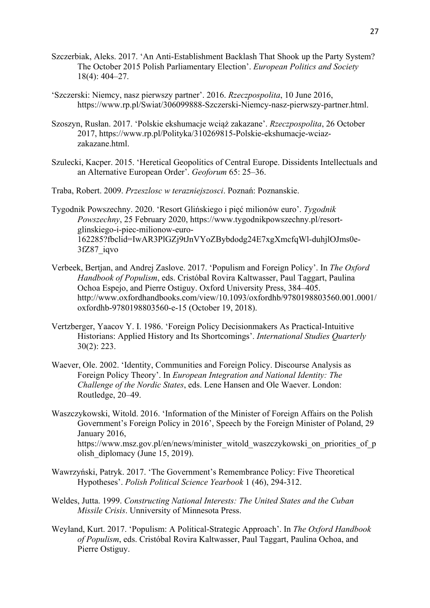- Szczerbiak, Aleks. 2017. 'An Anti-Establishment Backlash That Shook up the Party System? The October 2015 Polish Parliamentary Election'. *European Politics and Society* 18(4): 404–27.
- 'Szczerski: Niemcy, nasz pierwszy partner'. 2016. *Rzeczpospolita*, 10 June 2016, https://www.rp.pl/Swiat/306099888-Szczerski-Niemcy-nasz-pierwszy-partner.html.
- Szoszyn, Rusłan. 2017. 'Polskie ekshumacje wciąż zakazane'. *Rzeczpospolita*, 26 October 2017, https://www.rp.pl/Polityka/310269815-Polskie-ekshumacje-wciazzakazane.html.
- Szulecki, Kacper. 2015. 'Heretical Geopolitics of Central Europe. Dissidents Intellectuals and an Alternative European Order'. *Geoforum* 65: 25–36.
- Traba, Robert. 2009. *Przeszlosc w terazniejszosci*. Poznań: Poznanskie.

Tygodnik Powszechny. 2020. 'Resort Glińskiego i pięć milionów euro'. *Tygodnik Powszechny*, 25 February 2020, https://www.tygodnikpowszechny.pl/resortglinskiego-i-piec-milionow-euro-162285?fbclid=IwAR3PlGZj9tJnVYoZBybdodg24E7xgXmcfqWl-duhjlOJms0e-3fZ87\_iqvo

- Verbeek, Bertjan, and Andrej Zaslove. 2017. 'Populism and Foreign Policy'. In *The Oxford Handbook of Populism*, eds. Cristóbal Rovira Kaltwasser, Paul Taggart, Paulina Ochoa Espejo, and Pierre Ostiguy. Oxford University Press, 384–405. http://www.oxfordhandbooks.com/view/10.1093/oxfordhb/9780198803560.001.0001/ oxfordhb-9780198803560-e-15 (October 19, 2018).
- Vertzberger, Yaacov Y. I. 1986. 'Foreign Policy Decisionmakers As Practical-Intuitive Historians: Applied History and Its Shortcomings'. *International Studies Quarterly* 30(2): 223.
- Waever, Ole. 2002. 'Identity, Communities and Foreign Policy. Discourse Analysis as Foreign Policy Theory'. In *European Integration and National Identity: The Challenge of the Nordic States*, eds. Lene Hansen and Ole Waever. London: Routledge, 20–49.
- Waszczykowski, Witold. 2016. 'Information of the Minister of Foreign Affairs on the Polish Government's Foreign Policy in 2016', Speech by the Foreign Minister of Poland, 29 January 2016, https://www.msz.gov.pl/en/news/minister\_witold\_waszczykowski\_on\_priorities\_of\_p olish\_diplomacy (June 15, 2019).
- Wawrzyński, Patryk. 2017. 'The Government's Remembrance Policy: Five Theoretical Hypotheses'. *Polish Political Science Yearbook* 1 (46), 294-312.
- Weldes, Jutta. 1999. *Constructing National Interests: The United States and the Cuban Missile Crisis*. Unniversity of Minnesota Press.
- Weyland, Kurt. 2017. 'Populism: A Political-Strategic Approach'. In *The Oxford Handbook of Populism*, eds. Cristóbal Rovira Kaltwasser, Paul Taggart, Paulina Ochoa, and Pierre Ostiguy.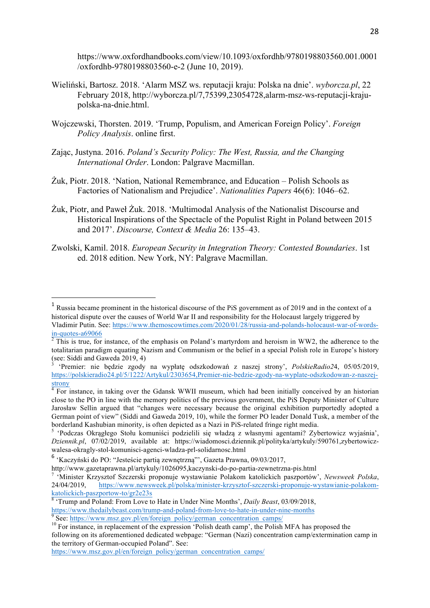https://www.oxfordhandbooks.com/view/10.1093/oxfordhb/9780198803560.001.0001 /oxfordhb-9780198803560-e-2 (June 10, 2019).

- Wieliński, Bartosz. 2018. 'Alarm MSZ ws. reputacji kraju: Polska na dnie'. *wyborcza.pl*, 22 February 2018, http://wyborcza.pl/7,75399,23054728,alarm-msz-ws-reputacji-krajupolska-na-dnie.html.
- Wojczewski, Thorsten. 2019. 'Trump, Populism, and American Foreign Policy'. *Foreign Policy Analysis*. online first.
- Zając, Justyna. 2016. *Poland's Security Policy: The West, Russia, and the Changing International Order*. London: Palgrave Macmillan.
- Żuk, Piotr. 2018. 'Nation, National Remembrance, and Education Polish Schools as Factories of Nationalism and Prejudice'. *Nationalities Papers* 46(6): 1046–62.
- Żuk, Piotr, and Paweł Żuk. 2018. 'Multimodal Analysis of the Nationalist Discourse and Historical Inspirations of the Spectacle of the Populist Right in Poland between 2015 and 2017'. *Discourse, Context & Media* 26: 135–43.
- Zwolski, Kamil. 2018. *European Security in Integration Theory: Contested Boundaries*. 1st ed. 2018 edition. New York, NY: Palgrave Macmillan.

 

following on its aforementioned dedicated webpage: "German (Nazi) concentration camp/extermination camp in the territory of German-occupied Poland". See:

https://www.msz.gov.pl/en/foreign\_policy/german\_concentration\_camps/

<sup>&</sup>lt;sup>1</sup> Russia became prominent in the historical discourse of the PiS government as of 2019 and in the context of a historical dispute over the causes of World War II and responsibility for the Holocaust largely triggered by Vladimir Putin. See: https://www.themoscowtimes.com/2020/01/28/russia-and-polands-holocaust-war-of-words-<br>in-quotes-a69066

 $\overline{P}$ <sup>2</sup> This is true, for instance, of the emphasis on Poland's martyrdom and heroism in WW2, the adherence to the totalitarian paradigm equating Nazism and Communism or the belief in a special Polish role in Europe's history (see: Siddi and Gaweda 2019, 4)

<sup>3</sup> 'Premier: nie będzie zgody na wypłatę odszkodowań z naszej strony', *PolskieRadio2*4, 05/05/2019, https://polskieradio24.pl/5/1222/Artykul/2303654,Premier-nie-bedzie-zgody-na-wyplate-odszkodowan-z-naszejstrony

 $\overline{4 \text{ For}}$  instance, in taking over the Gdansk WWII museum, which had been initially conceived by an historian close to the PO in line with the memory politics of the previous government, the PiS Deputy Minister of Culture Jarosław Sellin argued that "changes were necessary because the original exhibition purportedly adopted a German point of view" (Siddi and Gaweda 2019, 10), while the former PO leader Donald Tusk, a member of the borderland Kashubian minority, is often depicted as a Nazi in PiS-related fringe right media.

<sup>&</sup>lt;sup>5</sup> 'Podczas Okrągłego Stołu komuniści podzielili się władzą z własnymi agentami? Zybertowicz wyjaśnia', *Dziennik.pl*, 07/02/2019, available at: https://wiadomosci.dziennik.pl/polityka/artykuly/590761,zybertowiczwalesa-okragly-stol-komunisci-agenci-wladza-prl-solidarnosc.html

<sup>6 &#</sup>x27;Kaczyński do PO: "Jesteście partią zewnętrzną"', Gazeta Prawna, 09/03/2017,<br>http://www.gazetaprawna.pl/artykuly/1026095.kaczynski-do-po-partia-zewnetrzna-pis.html

<sup>&</sup>lt;sup>7</sup> 'Minister Krzysztof Szczerski proponuje wystawianie Polakom katolickich paszportów', *Newsweek Polska*, 24/04/2019, https://www.newsweek.pl/polska/minister-krzysztof-szczerski-proponuje-wystawianie-polakom-

katolickich-paszportow-to/gr2e23s<br><sup>8</sup> 'Trump and Poland: From Love to Hate in Under Nine Months', *Daily Beast*, 03/09/2018,<br>https://www.thedailybeast.com/trump-and-poland-from-love-to-hate-in-under-nine-months

 $\frac{9}{10}$  See: https://www.msz.gov.pl/en/foreign\_policy/german\_concentration\_camps/<br><sup>10</sup> For instance, in replacement of the expression 'Polish death camp', the Polish MFA has proposed the